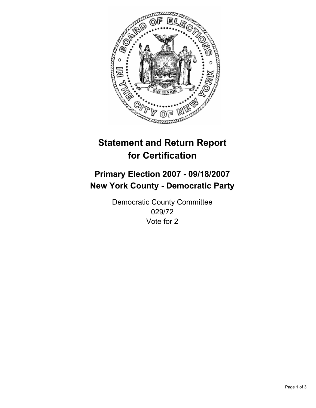

# **Statement and Return Report for Certification**

## **Primary Election 2007 - 09/18/2007 New York County - Democratic Party**

Democratic County Committee 029/72 Vote for 2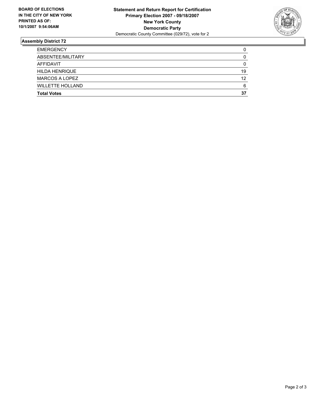

### **Assembly District 72**

| <b>EMERGENCY</b>        |    |
|-------------------------|----|
| ABSENTEE/MILITARY       |    |
| AFFIDAVIT               |    |
| <b>HILDA HENRIQUE</b>   | 19 |
| <b>MARCOS A LOPEZ</b>   | 12 |
| <b>WILLETTE HOLLAND</b> | 6  |
| <b>Total Votes</b>      | 37 |